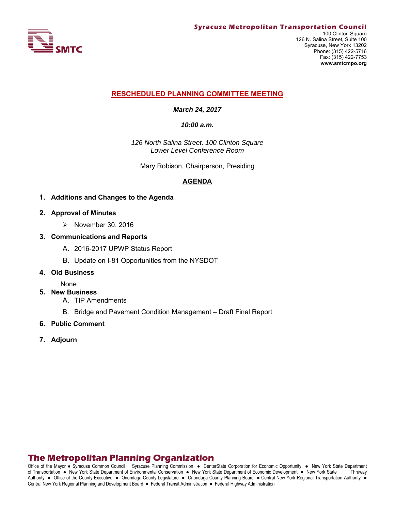

### **RESCHEDULED PLANNING COMMITTEE MEETING**

*March 24, 2017* 

*10:00 a.m.*

*126 North Salina Street, 100 Clinton Square Lower Level Conference Room*

Mary Robison, Chairperson, Presiding

### **AGENDA**

- **1. Additions and Changes to the Agenda**
- **2. Approval of Minutes** 
	- $\triangleright$  November 30, 2016
- **3. Communications and Reports** 
	- A. 2016-2017 UPWP Status Report
	- B. Update on I-81 Opportunities from the NYSDOT
- **4. Old Business**

None

- **5. New Business** 
	- A. TIP Amendments
	- B. Bridge and Pavement Condition Management Draft Final Report
- **6. Public Comment**
- **7. Adjourn**

## **The Metropolitan Planning Organization**

Office of the Mayor • Syracuse Common Council Syracuse Planning Commission • CenterState Corporation for Economic Opportunity • New York State Department of Transportation New York State Department of Environmental Conservation New York State Department of Economic Development New York State Thruway Authority . Office of the County Executive . Onondaga County Legislature . Onondaga County Planning Board . Central New York Regional Transportation Authority . Central New York Regional Planning and Development Board · Federal Transit Administration · Federal Highway Administration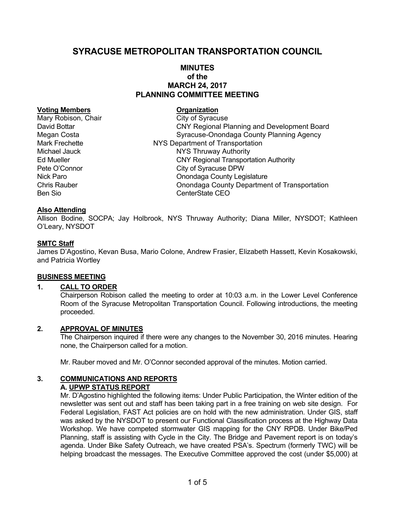# **SYRACUSE METROPOLITAN TRANSPORTATION COUNCIL**

### **MINUTES of the MARCH 24, 2017 PLANNING COMMITTEE MEETING**

#### **Voting Members Construction Construction Construction Construction Construction Construction Construction Construction Construction Construction Construction Construction Construction Construction Construction Constructio**

Mary Robison, Chair City of Syracuse David Bottar CNY Regional Planning and Development Board Megan Costa **Syracuse-Onondaga County Planning Agency** Mark Frechette NYS Department of Transportation Michael Jauck **NYS Thruway Authority** Ed Mueller CNY Regional Transportation Authority Pete O'Connor City of Syracuse DPW Nick Paro **Nick Paro County Legislature** Onondaga County Legislature Chris Rauber Onondaga County Department of Transportation Ben Sio CenterState CEO

### **Also Attending**

Allison Bodine, SOCPA; Jay Holbrook, NYS Thruway Authority; Diana Miller, NYSDOT; Kathleen O'Leary, NYSDOT

### **SMTC Staff**

James D'Agostino, Kevan Busa, Mario Colone, Andrew Frasier, Elizabeth Hassett, Kevin Kosakowski, and Patricia Wortley

#### **BUSINESS MEETING**

### **1. CALL TO ORDER**

Chairperson Robison called the meeting to order at 10:03 a.m. in the Lower Level Conference Room of the Syracuse Metropolitan Transportation Council. Following introductions, the meeting proceeded.

#### **2. APPROVAL OF MINUTES**

The Chairperson inquired if there were any changes to the November 30, 2016 minutes. Hearing none, the Chairperson called for a motion.

Mr. Rauber moved and Mr. O'Connor seconded approval of the minutes. Motion carried.

#### **3. COMMUNICATIONS AND REPORTS A. UPWP STATUS REPORT**

Mr. D'Agostino highlighted the following items: Under Public Participation, the Winter edition of the newsletter was sent out and staff has been taking part in a free training on web site design. For Federal Legislation, FAST Act policies are on hold with the new administration. Under GIS, staff was asked by the NYSDOT to present our Functional Classification process at the Highway Data Workshop. We have competed stormwater GIS mapping for the CNY RPDB. Under Bike/Ped Planning, staff is assisting with Cycle in the City. The Bridge and Pavement report is on today's agenda. Under Bike Safety Outreach, we have created PSA's. Spectrum (formerly TWC) will be helping broadcast the messages. The Executive Committee approved the cost (under \$5,000) at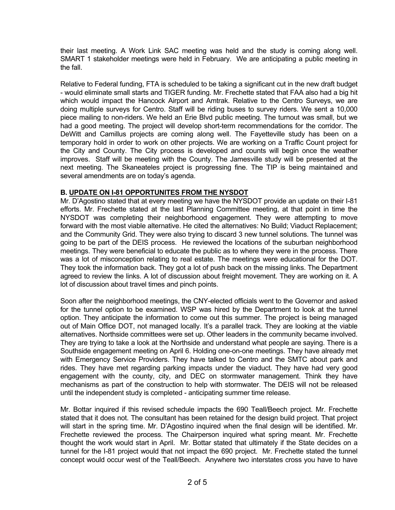their last meeting. A Work Link SAC meeting was held and the study is coming along well. SMART 1 stakeholder meetings were held in February. We are anticipating a public meeting in the fall.

Relative to Federal funding, FTA is scheduled to be taking a significant cut in the new draft budget - would eliminate small starts and TIGER funding. Mr. Frechette stated that FAA also had a big hit which would impact the Hancock Airport and Amtrak. Relative to the Centro Surveys, we are doing multiple surveys for Centro. Staff will be riding buses to survey riders. We sent a 10,000 piece mailing to non-riders. We held an Erie Blvd public meeting. The turnout was small, but we had a good meeting. The project will develop short-term recommendations for the corridor. The DeWitt and Camillus projects are coming along well. The Fayetteville study has been on a temporary hold in order to work on other projects. We are working on a Traffic Count project for the City and County. The City process is developed and counts will begin once the weather improves. Staff will be meeting with the County. The Jamesville study will be presented at the next meeting. The Skaneateles project is progressing fine. The TIP is being maintained and several amendments are on today's agenda.

### **B. UPDATE ON I-81 OPPORTUNITES FROM THE NYSDOT**

Mr. D'Agostino stated that at every meeting we have the NYSDOT provide an update on their I-81 efforts. Mr. Frechette stated at the last Planning Committee meeting, at that point in time the NYSDOT was completing their neighborhood engagement. They were attempting to move forward with the most viable alternative. He cited the alternatives: No Build; Viaduct Replacement; and the Community Grid. They were also trying to discard 3 new tunnel solutions. The tunnel was going to be part of the DEIS process. He reviewed the locations of the suburban neighborhood meetings. They were beneficial to educate the public as to where they were in the process. There was a lot of misconception relating to real estate. The meetings were educational for the DOT. They took the information back. They got a lot of push back on the missing links. The Department agreed to review the links. A lot of discussion about freight movement. They are working on it. A lot of discussion about travel times and pinch points.

Soon after the neighborhood meetings, the CNY-elected officials went to the Governor and asked for the tunnel option to be examined. WSP was hired by the Department to look at the tunnel option. They anticipate the information to come out this summer. The project is being managed out of Main Office DOT, not managed locally. It's a parallel track. They are looking at the viable alternatives. Northside committees were set up. Other leaders in the community became involved. They are trying to take a look at the Northside and understand what people are saying. There is a Southside engagement meeting on April 6. Holding one-on-one meetings. They have already met with Emergency Service Providers. They have talked to Centro and the SMTC about park and rides. They have met regarding parking impacts under the viaduct. They have had very good engagement with the county, city, and DEC on stormwater management. Think they have mechanisms as part of the construction to help with stormwater. The DEIS will not be released until the independent study is completed - anticipating summer time release.

Mr. Bottar inquired if this revised schedule impacts the 690 Teall/Beech project. Mr. Frechette stated that it does not. The consultant has been retained for the design build project. That project will start in the spring time. Mr. D'Agostino inquired when the final design will be identified. Mr. Frechette reviewed the process. The Chairperson inquired what spring meant. Mr. Frechette thought the work would start in April. Mr. Bottar stated that ultimately if the State decides on a tunnel for the I-81 project would that not impact the 690 project. Mr. Frechette stated the tunnel concept would occur west of the Teall/Beech. Anywhere two interstates cross you have to have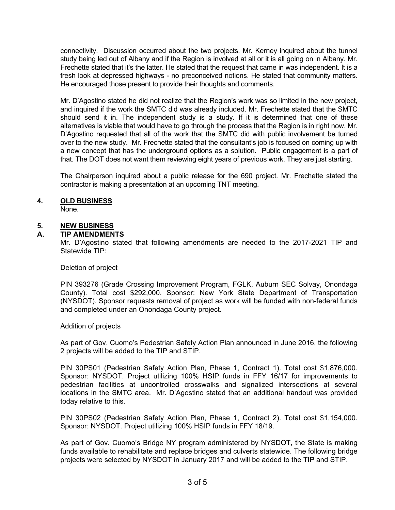connectivity. Discussion occurred about the two projects. Mr. Kerney inquired about the tunnel study being led out of Albany and if the Region is involved at all or it is all going on in Albany. Mr. Frechette stated that it's the latter. He stated that the request that came in was independent. It is a fresh look at depressed highways - no preconceived notions. He stated that community matters. He encouraged those present to provide their thoughts and comments.

Mr. D'Agostino stated he did not realize that the Region's work was so limited in the new project, and inquired if the work the SMTC did was already included. Mr. Frechette stated that the SMTC should send it in. The independent study is a study. If it is determined that one of these alternatives is viable that would have to go through the process that the Region is in right now. Mr. D'Agostino requested that all of the work that the SMTC did with public involvement be turned over to the new study. Mr. Frechette stated that the consultant's job is focused on coming up with a new concept that has the underground options as a solution. Public engagement is a part of that. The DOT does not want them reviewing eight years of previous work. They are just starting.

The Chairperson inquired about a public release for the 690 project. Mr. Frechette stated the contractor is making a presentation at an upcoming TNT meeting.

### **4. OLD BUSINESS**

None.

### **5. NEW BUSINESS**

### **A. TIP AMENDMENTS**

Mr. D'Agostino stated that following amendments are needed to the 2017-2021 TIP and Statewide TIP:

#### Deletion of project

PIN 393276 (Grade Crossing Improvement Program, FGLK, Auburn SEC Solvay, Onondaga County). Total cost \$292,000. Sponsor: New York State Department of Transportation (NYSDOT). Sponsor requests removal of project as work will be funded with non-federal funds and completed under an Onondaga County project.

#### Addition of projects

As part of Gov. Cuomo's Pedestrian Safety Action Plan announced in June 2016, the following 2 projects will be added to the TIP and STIP.

PIN 30PS01 (Pedestrian Safety Action Plan, Phase 1, Contract 1). Total cost \$1,876,000. Sponsor: NYSDOT. Project utilizing 100% HSIP funds in FFY 16/17 for improvements to pedestrian facilities at uncontrolled crosswalks and signalized intersections at several locations in the SMTC area. Mr. D'Agostino stated that an additional handout was provided today relative to this.

PIN 30PS02 (Pedestrian Safety Action Plan, Phase 1, Contract 2). Total cost \$1,154,000. Sponsor: NYSDOT. Project utilizing 100% HSIP funds in FFY 18/19.

As part of Gov. Cuomo's Bridge NY program administered by NYSDOT, the State is making funds available to rehabilitate and replace bridges and culverts statewide. The following bridge projects were selected by NYSDOT in January 2017 and will be added to the TIP and STIP.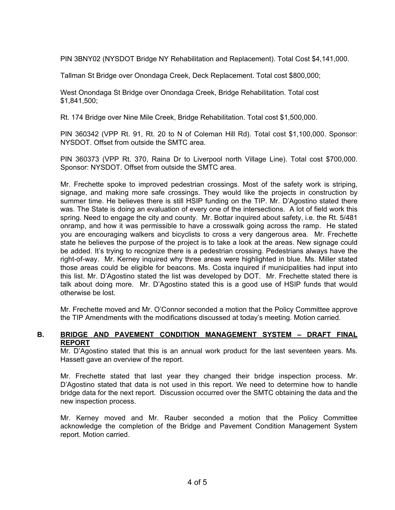PIN 3BNY02 (NYSDOT Bridge NY Rehabilitation and Replacement). Total Cost \$4,141,000.

Tallman St Bridge over Onondaga Creek, Deck Replacement. Total cost \$800,000;

West Onondaga St Bridge over Onondaga Creek, Bridge Rehabilitation. Total cost \$1,841,500;

Rt. 174 Bridge over Nine Mile Creek, Bridge Rehabilitation. Total cost \$1,500,000.

PIN 360342 (VPP Rt. 91, Rt. 20 to N of Coleman Hill Rd). Total cost \$1,100,000. Sponsor: NYSDOT. Offset from outside the SMTC area.

PIN 360373 (VPP Rt. 370, Raina Dr to Liverpool north Village Line). Total cost \$700,000. Sponsor: NYSDOT. Offset from outside the SMTC area.

Mr. Frechette spoke to improved pedestrian crossings. Most of the safety work is striping, signage, and making more safe crossings. They would like the projects in construction by summer time. He believes there is still HSIP funding on the TIP. Mr. D'Agostino stated there was. The State is doing an evaluation of every one of the intersections. A lot of field work this spring. Need to engage the city and county. Mr. Bottar inquired about safety, i.e. the Rt. 5/481 onramp, and how it was permissible to have a crosswalk going across the ramp. He stated you are encouraging walkers and bicyclists to cross a very dangerous area. Mr. Frechette state he believes the purpose of the project is to take a look at the areas. New signage could be added. It's trying to recognize there is a pedestrian crossing. Pedestrians always have the right-of-way. Mr. Kerney inquired why three areas were highlighted in blue. Ms. Miller stated those areas could be eligible for beacons. Ms. Costa inquired if municipalities had input into this list. Mr. D'Agostino stated the list was developed by DOT. Mr. Frechette stated there is talk about doing more. Mr. D'Agostino stated this is a good use of HSIP funds that would otherwise be lost.

Mr. Frechette moved and Mr. O'Connor seconded a motion that the Policy Committee approve the TIP Amendments with the modifications discussed at today's meeting. Motion carried.

#### **B. BRIDGE AND PAVEMENT CONDITION MANAGEMENT SYSTEM – DRAFT FINAL REPORT**

Mr. D'Agostino stated that this is an annual work product for the last seventeen years. Ms. Hassett gave an overview of the report.

Mr. Frechette stated that last year they changed their bridge inspection process. Mr. D'Agostino stated that data is not used in this report. We need to determine how to handle bridge data for the next report. Discussion occurred over the SMTC obtaining the data and the new inspection process.

Mr. Kerney moved and Mr. Rauber seconded a motion that the Policy Committee acknowledge the completion of the Bridge and Pavement Condition Management System report. Motion carried.